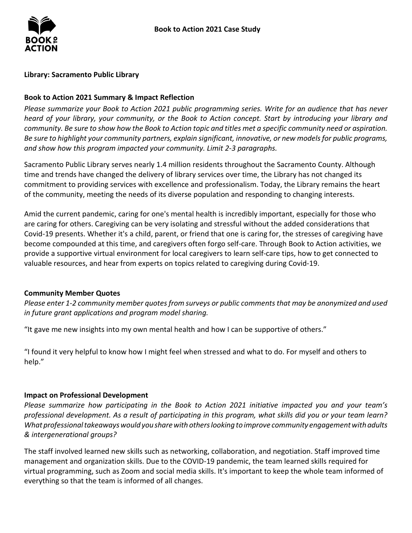

#### **Library: Sacramento Public Library**

#### **Book to Action 2021 Summary & Impact Reflection**

*Please summarize your Book to Action 2021 public programming series. Write for an audience that has never heard of your library, your community, or the Book to Action concept. Start by introducing your library and community. Be sure to show how the Book to Action topic and titles met a specific community need or aspiration. Be sure to highlight your community partners, explain significant, innovative, or new models for public programs, and show how this program impacted your community. Limit 2-3 paragraphs.* 

 time and trends have changed the delivery of library services over time, the Library has not changed its Sacramento Public Library serves nearly 1.4 million residents throughout the Sacramento County. Although commitment to providing services with excellence and professionalism. Today, the Library remains the heart of the community, meeting the needs of its diverse population and responding to changing interests.

 Covid-19 presents. Whether it's a child, parent, or friend that one is caring for, the stresses of caregiving have become compounded at this time, and caregivers often forgo self-care. Through Book to Action activities, we Amid the current pandemic, caring for one's mental health is incredibly important, especially for those who are caring for others. Caregiving can be very isolating and stressful without the added considerations that provide a supportive virtual environment for local caregivers to learn self-care tips, how to get connected to valuable resources, and hear from experts on topics related to caregiving during Covid-19.

#### **Community Member Quotes**

*Please enter 1-2 community member quotes from surveys or public comments that may be anonymized and used in future grant applications and program model sharing.* 

"It gave me new insights into my own mental health and how I can be supportive of others."

"I found it very helpful to know how I might feel when stressed and what to do. For myself and others to help."

#### **Impact on Professional Development**

 *What professional takeaways would you share with others looking to improve community engagement with adults & intergenerational groups? Please summarize how participating in the Book to Action 2021 initiative impacted you and your team's professional development. As a result of participating in this program, what skills did you or your team learn?* 

 The staff involved learned new skills such as networking, collaboration, and negotiation. Staff improved time virtual programming, such as Zoom and social media skills. It's important to keep the whole team informed of everything so that the team is informed of all changes. management and organization skills. Due to the COVID-19 pandemic, the team learned skills required for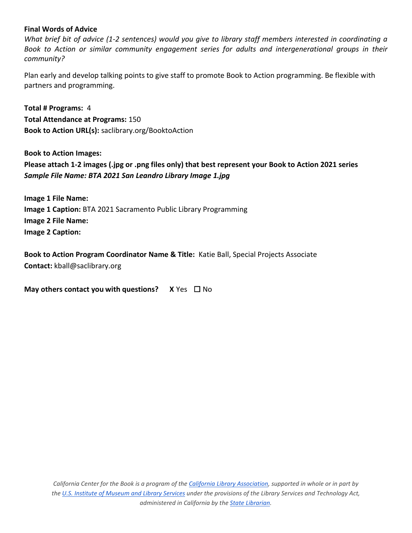#### **Final Words of Advice**

*What brief bit of advice (1-2 sentences) would you give to library staff members interested in coordinating a Book to Action or similar community engagement series for adults and intergenerational groups in their community?* 

 Plan early and develop talking points to give staff to promote Book to Action programming. Be flexible with partners and programming.

 **Total # Programs:** 4 **Total Attendance at Programs:** 150 **Book to Action URL(s):** saclibrary.org/BooktoAction

**Book to Action Images:** Book to Action Images:<br>Please attach 1-2 images (.jpg or .png files only) that best represent your Book to Action 2021 series  *Sample File Name: BTA 2021 San Leandro Library Image 1.jpg* 

 **Image 2 File Name:**  Image 2 Caption: **Image 1 File Name: Image 1 Caption:** BTA 2021 Sacramento Public Library Programming

**Book to Action Program Coordinator Name & Title: Katie Ball, Special Projects Associate Contact:** kball@saclibrary.org

**May others contact you with questions?** X Yes □ No